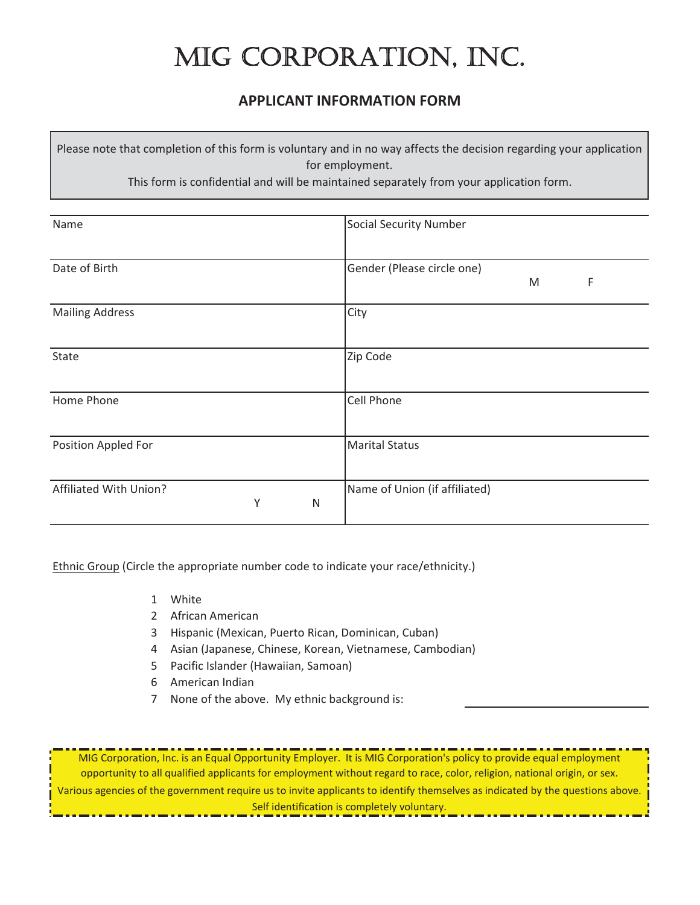## MIG CORPORATION, INC.

## **APPLICANT INFORMATION FORM**

Please note that completion of this form is voluntary and in no way affects the decision regarding your application for employment.

This form is confidential and will be maintained separately from your application form.

| Name                   |   |           | Social Security Number        |   |   |
|------------------------|---|-----------|-------------------------------|---|---|
| Date of Birth          |   |           | Gender (Please circle one)    | M | F |
| <b>Mailing Address</b> |   |           | City                          |   |   |
| State                  |   |           | Zip Code                      |   |   |
| Home Phone             |   |           | Cell Phone                    |   |   |
| Position Appled For    |   |           | <b>Marital Status</b>         |   |   |
| Affiliated With Union? | Y | ${\sf N}$ | Name of Union (if affiliated) |   |   |

Ethnic Group (Circle the appropriate number code to indicate your race/ethnicity.)

- 1 White
- 2 African American
- 3 Hispanic (Mexican, Puerto Rican, Dominican, Cuban)
- 4 Asian (Japanese, Chinese, Korean, Vietnamese, Cambodian)
- 5 Pacific Islander (Hawaiian, Samoan)
- 6 American Indian
- 7 None of the above. My ethnic background is:

Self identification is completely voluntary. Various agencies of the government require us to invite applicants to identify themselves as indicated by the questions above. MIG Corporation, Inc. is an Equal Opportunity Employer. It is MIG Corporation's policy to provide equal employment opportunity to all qualified applicants for employment without regard to race, color, religion, national origin, or sex.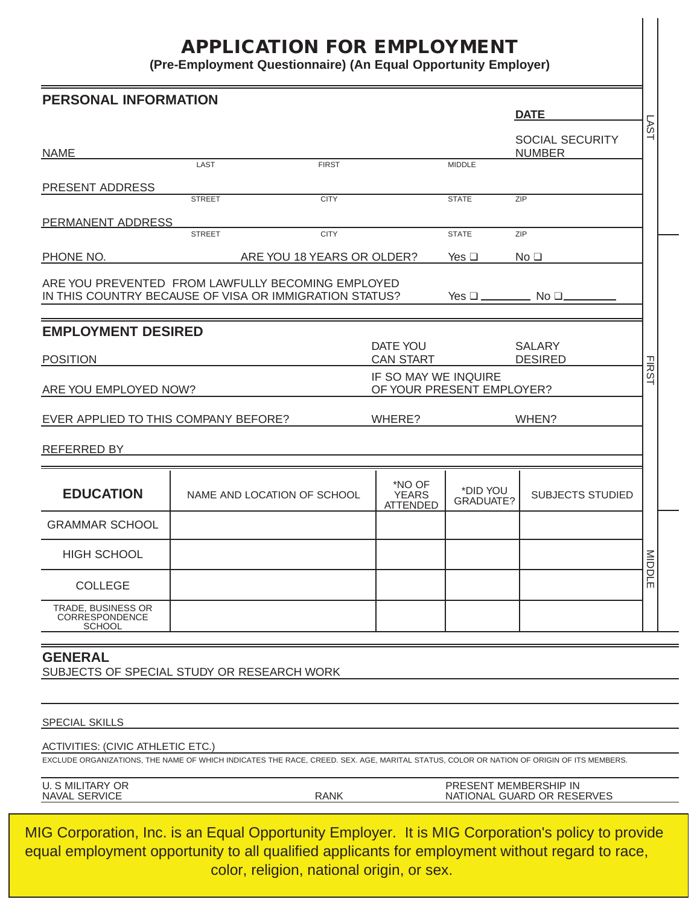## **APPLICATION FOR EMPLOYMENT**

**(Pre-Employment Questionnaire) (An Equal Opportunity Employer)**

| <b>PERSONAL INFORMATION</b>                                                                                                                                                  |               |                             |                                           |                              | <b>DATE</b>                     |             |
|------------------------------------------------------------------------------------------------------------------------------------------------------------------------------|---------------|-----------------------------|-------------------------------------------|------------------------------|---------------------------------|-------------|
|                                                                                                                                                                              |               |                             |                                           |                              | <b>SOCIAL SECURITY</b>          | 5<br>ŠΓ     |
| <b>NAME</b>                                                                                                                                                                  |               |                             |                                           |                              | <b>NUMBER</b>                   |             |
|                                                                                                                                                                              | LAST          | <b>FIRST</b>                |                                           | <b>MIDDLE</b>                |                                 |             |
| PRESENT ADDRESS                                                                                                                                                              | <b>STREET</b> | <b>CITY</b>                 |                                           | <b>STATE</b>                 | ZIP                             |             |
| PERMANENT ADDRESS                                                                                                                                                            |               |                             |                                           |                              |                                 |             |
|                                                                                                                                                                              | <b>STREET</b> | <b>CITY</b>                 |                                           | <b>STATE</b>                 | ZIP                             |             |
| PHONE NO.                                                                                                                                                                    |               | ARE YOU 18 YEARS OR OLDER?  |                                           | Yes $\square$                | No <sub>1</sub>                 |             |
| ARE YOU PREVENTED FROM LAWFULLY BECOMING EMPLOYED<br>IN THIS COUNTRY BECAUSE OF VISA OR IMMIGRATION STATUS?                                                                  |               |                             |                                           | Yes $\square$ No $\square$ . |                                 |             |
| <b>EMPLOYMENT DESIRED</b>                                                                                                                                                    |               |                             |                                           |                              |                                 |             |
| <b>POSITION</b>                                                                                                                                                              |               |                             | DATE YOU<br><b>CAN START</b>              |                              | <b>SALARY</b><br><b>DESIRED</b> |             |
| ARE YOU EMPLOYED NOW?                                                                                                                                                        |               |                             | IF SO MAY WE INQUIRE                      | OF YOUR PRESENT EMPLOYER?    |                                 | <b>FIRS</b> |
| EVER APPLIED TO THIS COMPANY BEFORE?                                                                                                                                         |               |                             | WHERE?                                    |                              | WHEN?                           |             |
| REFERRED BY                                                                                                                                                                  |               |                             |                                           |                              |                                 |             |
| <b>EDUCATION</b>                                                                                                                                                             |               | NAME AND LOCATION OF SCHOOL | *NO OF<br><b>YEARS</b><br><b>ATTENDED</b> | *DID YOU<br>GRADUATE?        | <b>SUBJECTS STUDIED</b>         |             |
| <b>GRAMMAR SCHOOL</b>                                                                                                                                                        |               |                             |                                           |                              |                                 |             |
| <b>HIGH SCHOOL</b>                                                                                                                                                           |               |                             |                                           |                              |                                 | MIDDLE      |
| <b>COLLEGE</b>                                                                                                                                                               |               |                             |                                           |                              |                                 |             |
| TRADE, BUSINESS OR<br>CORRESPONDENCE<br>SCHOOL                                                                                                                               |               |                             |                                           |                              |                                 |             |
| <b>GENERAL</b><br>SUBJECTS OF SPECIAL STUDY OR RESEARCH WORK                                                                                                                 |               |                             |                                           |                              |                                 |             |
| <b>SPECIAL SKILLS</b>                                                                                                                                                        |               |                             |                                           |                              |                                 |             |
| ACTIVITIES: (CIVIC ATHLETIC ETC.)<br>EXCLUDE ORGANIZATIONS, THE NAME OF WHICH INDICATES THE RACE, CREED. SEX. AGE, MARITAL STATUS, COLOR OR NATION OF ORIGIN OF ITS MEMBERS. |               |                             |                                           |                              |                                 |             |
| <b>U. S MILITARY OR</b><br><b>NAVAL SERVICE</b>                                                                                                                              |               | <b>RANK</b>                 |                                           | PRESENT MEMBERSHIP IN        | NATIONAL GUARD OR RESERVES      |             |
|                                                                                                                                                                              |               |                             |                                           |                              |                                 |             |

MIG Corporation, Inc. is an Equal Opportunity Employer. It is MIG Corporation's policy to provide equal employment opportunity to all qualified applicants for employment without regard to race, color, religion, national origin, or sex.